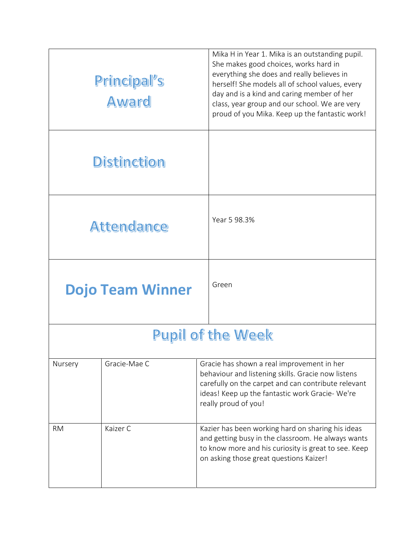|                          | Principal's<br><b>Award</b> | Mika H in Year 1. Mika is an outstanding pupil.<br>She makes good choices, works hard in<br>everything she does and really believes in<br>herself! She models all of school values, every<br>day and is a kind and caring member of her<br>class, year group and our school. We are very<br>proud of you Mika. Keep up the fantastic work! |  |  |
|--------------------------|-----------------------------|--------------------------------------------------------------------------------------------------------------------------------------------------------------------------------------------------------------------------------------------------------------------------------------------------------------------------------------------|--|--|
|                          | <b>Distinction</b>          |                                                                                                                                                                                                                                                                                                                                            |  |  |
|                          | <b>Attendance</b>           | Year 5 98.3%                                                                                                                                                                                                                                                                                                                               |  |  |
|                          | <b>Dojo Team Winner</b>     | Green                                                                                                                                                                                                                                                                                                                                      |  |  |
| <b>Pupil of the Week</b> |                             |                                                                                                                                                                                                                                                                                                                                            |  |  |
| Nursery                  | Gracie-Mae C                | Gracie has shown a real improvement in her<br>behaviour and listening skills. Gracie now listens<br>carefully on the carpet and can contribute relevant<br>ideas! Keep up the fantastic work Gracie- We're<br>really proud of you!                                                                                                         |  |  |
| <b>RM</b>                | Kaizer C                    | Kazier has been working hard on sharing his ideas<br>and getting busy in the classroom. He always wants<br>to know more and his curiosity is great to see. Keep<br>on asking those great questions Kaizer!                                                                                                                                 |  |  |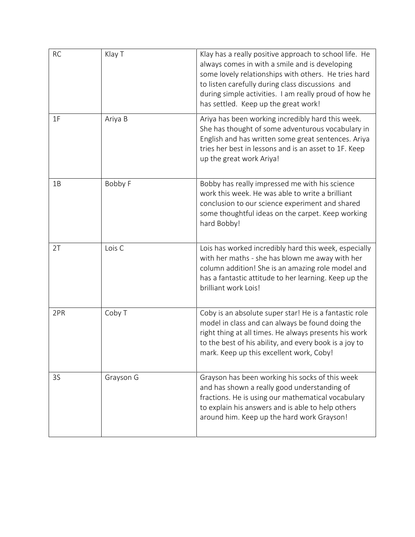| <b>RC</b> | Klay T    | Klay has a really positive approach to school life. He<br>always comes in with a smile and is developing<br>some lovely relationships with others. He tries hard<br>to listen carefully during class discussions and<br>during simple activities. I am really proud of how he<br>has settled. Keep up the great work! |
|-----------|-----------|-----------------------------------------------------------------------------------------------------------------------------------------------------------------------------------------------------------------------------------------------------------------------------------------------------------------------|
| 1F        | Ariya B   | Ariya has been working incredibly hard this week.<br>She has thought of some adventurous vocabulary in<br>English and has written some great sentences. Ariya<br>tries her best in lessons and is an asset to 1F. Keep<br>up the great work Ariya!                                                                    |
| 1B        | Bobby F   | Bobby has really impressed me with his science<br>work this week. He was able to write a brilliant<br>conclusion to our science experiment and shared<br>some thoughtful ideas on the carpet. Keep working<br>hard Bobby!                                                                                             |
| 2T        | Lois C    | Lois has worked incredibly hard this week, especially<br>with her maths - she has blown me away with her<br>column addition! She is an amazing role model and<br>has a fantastic attitude to her learning. Keep up the<br>brilliant work Lois!                                                                        |
| 2PR       | Coby T    | Coby is an absolute super star! He is a fantastic role<br>model in class and can always be found doing the<br>right thing at all times. He always presents his work<br>to the best of his ability, and every book is a joy to<br>mark. Keep up this excellent work, Coby!                                             |
| 3S        | Grayson G | Grayson has been working his socks of this week<br>and has shown a really good understanding of<br>fractions. He is using our mathematical vocabulary<br>to explain his answers and is able to help others<br>around him. Keep up the hard work Grayson!                                                              |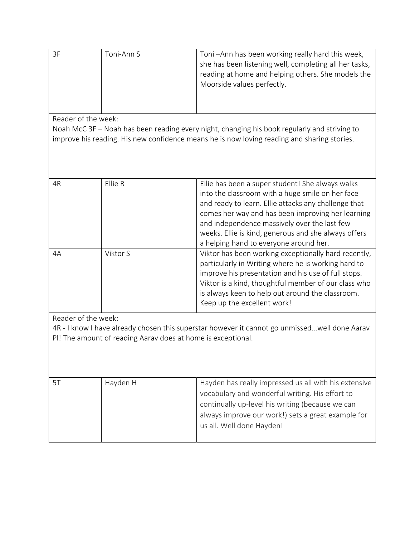| 3F                                                                                                                                                                                                                 | Toni-Ann S | Toni-Ann has been working really hard this week,<br>she has been listening well, completing all her tasks,<br>reading at home and helping others. She models the<br>Moorside values perfectly.                                                                                                                                                                      |  |  |  |
|--------------------------------------------------------------------------------------------------------------------------------------------------------------------------------------------------------------------|------------|---------------------------------------------------------------------------------------------------------------------------------------------------------------------------------------------------------------------------------------------------------------------------------------------------------------------------------------------------------------------|--|--|--|
| Reader of the week:<br>Noah McC 3F – Noah has been reading every night, changing his book regularly and striving to<br>improve his reading. His new confidence means he is now loving reading and sharing stories. |            |                                                                                                                                                                                                                                                                                                                                                                     |  |  |  |
| 4R                                                                                                                                                                                                                 | Ellie R    | Ellie has been a super student! She always walks<br>into the classroom with a huge smile on her face<br>and ready to learn. Ellie attacks any challenge that<br>comes her way and has been improving her learning<br>and independence massively over the last few<br>weeks. Ellie is kind, generous and she always offers<br>a helping hand to everyone around her. |  |  |  |
| 4A                                                                                                                                                                                                                 | Viktor S   | Viktor has been working exceptionally hard recently,<br>particularly in Writing where he is working hard to<br>improve his presentation and his use of full stops.<br>Viktor is a kind, thoughtful member of our class who<br>is always keen to help out around the classroom.<br>Keep up the excellent work!                                                       |  |  |  |
| Reader of the week:<br>4R - I know I have already chosen this superstar however it cannot go unmissedwell done Aarav<br>PI! The amount of reading Aarav does at home is exceptional.                               |            |                                                                                                                                                                                                                                                                                                                                                                     |  |  |  |
| 5T                                                                                                                                                                                                                 | Hayden H   | Hayden has really impressed us all with his extensive<br>vocabulary and wonderful writing. His effort to<br>continually up-level his writing (because we can<br>always improve our work!) sets a great example for<br>us all. Well done Hayden!                                                                                                                     |  |  |  |